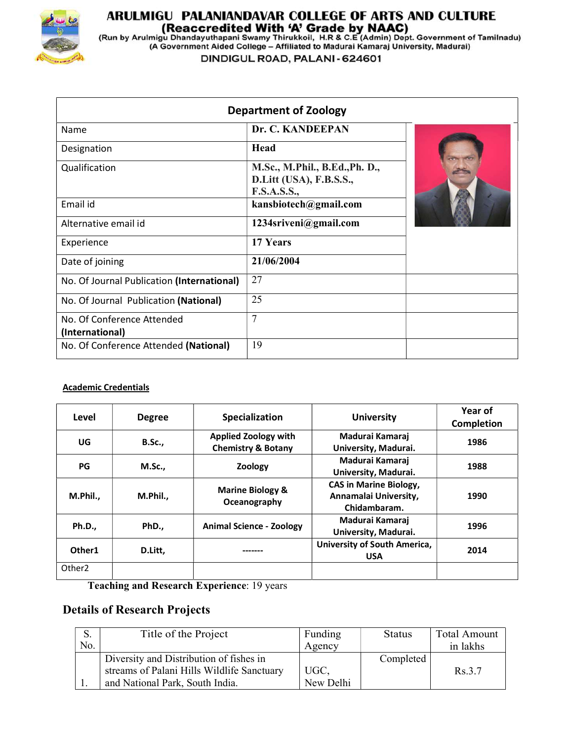

# **ARULMIGU PALANIANDAVAR COLLEGE OF ARTS AND CULTURE<br>(Reaccredited With 'A' Grade by NAAC)<br>(Run by Arulmigu Dhandayuthapani Swamy Thirukkoil, H.R & C.E (Admin) Dept. Government of Tamilnadu)<br>(A Government Aided College – Af**

DINDIGUL ROAD, PALANI - 624601

| <b>Department of Zoology</b>                  |                                                                                 |  |  |  |  |
|-----------------------------------------------|---------------------------------------------------------------------------------|--|--|--|--|
| Name                                          | Dr. C. KANDEEPAN                                                                |  |  |  |  |
| Designation                                   | Head                                                                            |  |  |  |  |
| Qualification                                 | M.Sc., M.Phil., B.Ed., Ph. D.,<br>D.Litt (USA), F.B.S.S.,<br><b>F.S.A.S.S.,</b> |  |  |  |  |
| Email id                                      | kansbiotech@gmail.com                                                           |  |  |  |  |
| Alternative email id                          | 1234sriveni@gmail.com                                                           |  |  |  |  |
| Experience                                    | 17 Years                                                                        |  |  |  |  |
| Date of joining                               | 21/06/2004                                                                      |  |  |  |  |
| No. Of Journal Publication (International)    | 27                                                                              |  |  |  |  |
| No. Of Journal Publication (National)         | 25                                                                              |  |  |  |  |
| No. Of Conference Attended<br>(International) | 7                                                                               |  |  |  |  |
| No. Of Conference Attended (National)         | 19                                                                              |  |  |  |  |

#### Academic Credentials

| Level              | <b>Degree</b> | Specialization                                               | <b>University</b>                                                      | Year of<br>Completion |
|--------------------|---------------|--------------------------------------------------------------|------------------------------------------------------------------------|-----------------------|
| UG                 | <b>B.Sc.,</b> | <b>Applied Zoology with</b><br><b>Chemistry &amp; Botany</b> | Madurai Kamaraj<br>University, Madurai.                                | 1986                  |
| PG                 | <b>M.Sc.,</b> | Zoology                                                      | Madurai Kamaraj<br>University, Madurai.                                | 1988                  |
| M.Phil.,           | M.Phil.,      | <b>Marine Biology &amp;</b><br>Oceanography                  | <b>CAS in Marine Biology,</b><br>Annamalai University,<br>Chidambaram. | 1990                  |
| <b>Ph.D.,</b>      | PhD.,         | <b>Animal Science - Zoology</b>                              | Madurai Kamaraj<br>University, Madurai.                                | 1996                  |
| Other1             | D.Litt,       |                                                              | University of South America,<br><b>USA</b>                             | 2014                  |
| Other <sub>2</sub> |               |                                                              |                                                                        |                       |

Teaching and Research Experience: 19 years

# Details of Research Projects

|     | Title of the Project                       | Funding   | Status    | <b>Total Amount</b> |
|-----|--------------------------------------------|-----------|-----------|---------------------|
| No. |                                            | Agency    |           | in lakhs            |
|     | Diversity and Distribution of fishes in    |           | Completed |                     |
|     | streams of Palani Hills Wildlife Sanctuary | UGC,      |           | Rs.3.7              |
|     | and National Park, South India.            | New Delhi |           |                     |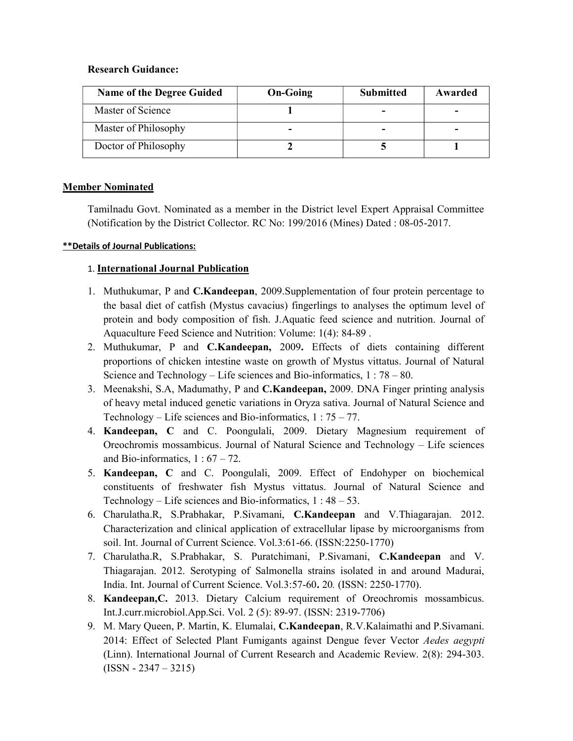### Research Guidance:

| <b>Name of the Degree Guided</b> | <b>On-Going</b> | <b>Submitted</b> | Awarded |
|----------------------------------|-----------------|------------------|---------|
| Master of Science                |                 |                  | -       |
| Master of Philosophy             |                 |                  |         |
| Doctor of Philosophy             |                 |                  |         |

## Member Nominated

Tamilnadu Govt. Nominated as a member in the District level Expert Appraisal Committee (Notification by the District Collector. RC No: 199/2016 (Mines) Dated : 08-05-2017.

### \*\*Details of Journal Publications:

## 1. International Journal Publication

- 1. Muthukumar, P and C.Kandeepan, 2009.Supplementation of four protein percentage to the basal diet of catfish (Mystus cavacius) fingerlings to analyses the optimum level of protein and body composition of fish. J.Aquatic feed science and nutrition. Journal of Aquaculture Feed Science and Nutrition: Volume: 1(4): 84-89 .
- 2. Muthukumar, P and C.Kandeepan, 2009. Effects of diets containing different proportions of chicken intestine waste on growth of Mystus vittatus. Journal of Natural Science and Technology – Life sciences and Bio-informatics, 1 : 78 – 80.
- 3. Meenakshi, S.A, Madumathy, P and C.Kandeepan, 2009. DNA Finger printing analysis of heavy metal induced genetic variations in Oryza sativa. Journal of Natural Science and Technology – Life sciences and Bio-informatics,  $1:75 - 77$ .
- 4. Kandeepan, C and C. Poongulali, 2009. Dietary Magnesium requirement of Oreochromis mossambicus. Journal of Natural Science and Technology – Life sciences and Bio-informatics,  $1:67-72$ .
- 5. Kandeepan, C and C. Poongulali, 2009. Effect of Endohyper on biochemical constituents of freshwater fish Mystus vittatus. Journal of Natural Science and Technology – Life sciences and Bio-informatics,  $1:48-53$ .
- 6. Charulatha.R, S.Prabhakar, P.Sivamani, C.Kandeepan and V.Thiagarajan. 2012. Characterization and clinical application of extracellular lipase by microorganisms from soil. Int. Journal of Current Science. Vol.3:61-66. (ISSN:2250-1770)
- 7. Charulatha.R, S.Prabhakar, S. Puratchimani, P.Sivamani, C.Kandeepan and V. Thiagarajan. 2012. Serotyping of Salmonella strains isolated in and around Madurai, India. Int. Journal of Current Science. Vol.3:57-60. 20. (ISSN: 2250-1770).
- 8. Kandeepan,C. 2013. Dietary Calcium requirement of Oreochromis mossambicus. Int.J.curr.microbiol.App.Sci. Vol. 2 (5): 89-97. (ISSN: 2319-7706)
- 9. M. Mary Queen, P. Martin, K. Elumalai, C.Kandeepan, R.V.Kalaimathi and P.Sivamani. 2014: Effect of Selected Plant Fumigants against Dengue fever Vector Aedes aegypti (Linn). International Journal of Current Research and Academic Review. 2(8): 294-303.  $(ISSN - 2347 - 3215)$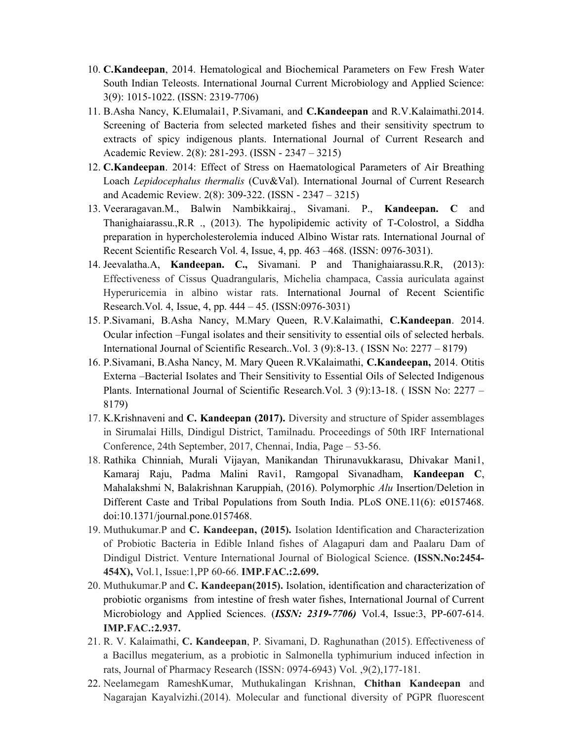- 10. C.Kandeepan, 2014. Hematological and Biochemical Parameters on Few Fresh Water South Indian Teleosts. International Journal Current Microbiology and Applied Science: 3(9): 1015-1022. (ISSN: 2319-7706)
- 11. B.Asha Nancy, K.Elumalai1, P.Sivamani, and C.Kandeepan and R.V.Kalaimathi.2014. Screening of Bacteria from selected marketed fishes and their sensitivity spectrum to extracts of spicy indigenous plants. International Journal of Current Research and Academic Review. 2(8): 281-293. (ISSN - 2347 – 3215)
- 12. C.Kandeepan. 2014: Effect of Stress on Haematological Parameters of Air Breathing Loach Lepidocephalus thermalis (Cuv&Val). International Journal of Current Research and Academic Review. 2(8): 309-322. (ISSN - 2347 – 3215)
- 13. Veeraragavan.M., Balwin Nambikkairaj., Sivamani. P., Kandeepan. C and Thanighaiarassu.,R.R ., (2013). The hypolipidemic activity of T-Colostrol, a Siddha preparation in hypercholesterolemia induced Albino Wistar rats. International Journal of Recent Scientific Research Vol. 4, Issue, 4, pp. 463 –468. (ISSN: 0976-3031).
- 14. Jeevalatha.A, Kandeepan. C., Sivamani. P and Thanighaiarassu.R.R, (2013): Effectiveness of Cissus Quadrangularis, Michelia champaca, Cassia auriculata against Hyperuricemia in albino wistar rats. International Journal of Recent Scientific Research.Vol. 4, Issue, 4, pp. 444 – 45. (ISSN:0976-3031)
- 15. P.Sivamani, B.Asha Nancy, M.Mary Queen, R.V.Kalaimathi, C.Kandeepan. 2014. Ocular infection –Fungal isolates and their sensitivity to essential oils of selected herbals. International Journal of Scientific Research..Vol. 3 (9):8-13. ( ISSN No: 2277 – 8179)
- 16. P.Sivamani, B.Asha Nancy, M. Mary Queen R.VKalaimathi, C.Kandeepan, 2014. Otitis Externa –Bacterial Isolates and Their Sensitivity to Essential Oils of Selected Indigenous Plants. International Journal of Scientific Research.Vol. 3 (9):13-18. ( ISSN No: 2277 – 8179)
- 17. K.Krishnaveni and C. Kandeepan (2017). Diversity and structure of Spider assemblages in Sirumalai Hills, Dindigul District, Tamilnadu. Proceedings of 50th IRF International Conference, 24th September, 2017, Chennai, India, Page – 53-56.
- 18. Rathika Chinniah, Murali Vijayan, Manikandan Thirunavukkarasu, Dhivakar Mani1, Kamaraj Raju, Padma Malini Ravi1, Ramgopal Sivanadham, Kandeepan C, Mahalakshmi N, Balakrishnan Karuppiah, (2016). Polymorphic Alu Insertion/Deletion in Different Caste and Tribal Populations from South India. PLoS ONE.11(6): e0157468. doi:10.1371/journal.pone.0157468.
- 19. Muthukumar.P and C. Kandeepan, (2015). Isolation Identification and Characterization of Probiotic Bacteria in Edible Inland fishes of Alagapuri dam and Paalaru Dam of Dindigul District. Venture International Journal of Biological Science. (ISSN.No:2454- 454X), Vol.1, Issue:1,PP 60-66. IMP.FAC.:2.699.
- 20. Muthukumar.P and C. Kandeepan(2015). Isolation, identification and characterization of probiotic organisms from intestine of fresh water fishes, International Journal of Current Microbiology and Applied Sciences. (**ISSN: 2319-7706**) Vol.4, Issue:3, PP-607-614. IMP.FAC.:2.937.
- 21. R. V. Kalaimathi, C. Kandeepan, P. Sivamani, D. Raghunathan (2015). Effectiveness of a Bacillus megaterium, as a probiotic in Salmonella typhimurium induced infection in rats, Journal of Pharmacy Research (ISSN: 0974-6943) Vol. ,9(2),177-181.
- 22. Neelamegam RameshKumar, Muthukalingan Krishnan, Chithan Kandeepan and Nagarajan Kayalvizhi.(2014). Molecular and functional diversity of PGPR fluorescent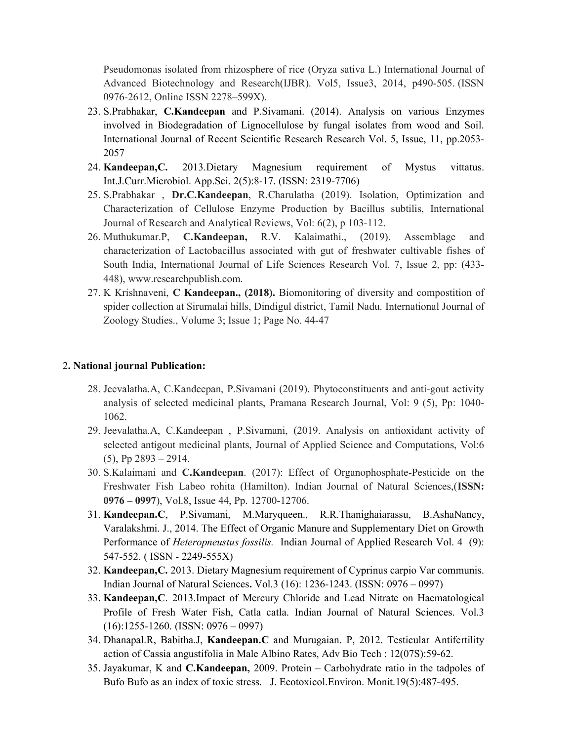Pseudomonas isolated from rhizosphere of rice (Oryza sativa L.) International Journal of Advanced Biotechnology and Research(IJBR). Vol5, Issue3, 2014, p490-505. (ISSN 0976-2612, Online ISSN 2278–599X).

- 23. S.Prabhakar, C.Kandeepan and P.Sivamani. (2014). Analysis on various Enzymes involved in Biodegradation of Lignocellulose by fungal isolates from wood and Soil. International Journal of Recent Scientific Research Research Vol. 5, Issue, 11, pp.2053- 2057
- 24. Kandeepan,C. 2013.Dietary Magnesium requirement of Mystus vittatus. Int.J.Curr.Microbiol. App.Sci. 2(5):8-17. (ISSN: 2319-7706)
- 25. S.Prabhakar , Dr.C.Kandeepan, R.Charulatha (2019). Isolation, Optimization and Characterization of Cellulose Enzyme Production by Bacillus subtilis, International Journal of Research and Analytical Reviews, Vol: 6(2), p 103-112.
- 26. Muthukumar.P, C.Kandeepan, R.V. Kalaimathi., (2019). Assemblage and characterization of Lactobacillus associated with gut of freshwater cultivable fishes of South India, International Journal of Life Sciences Research Vol. 7, Issue 2, pp: (433- 448), www.researchpublish.com.
- 27. K Krishnaveni, C Kandeepan., (2018). Biomonitoring of diversity and compostition of spider collection at Sirumalai hills, Dindigul district, Tamil Nadu. International Journal of Zoology Studies., Volume 3; Issue 1; Page No. 44-47

#### 2. National journal Publication:

- 28. Jeevalatha.A, C.Kandeepan, P.Sivamani (2019). Phytoconstituents and anti-gout activity analysis of selected medicinal plants, Pramana Research Journal, Vol: 9 (5), Pp: 1040- 1062.
- 29. Jeevalatha.A, C.Kandeepan , P.Sivamani, (2019. Analysis on antioxidant activity of selected antigout medicinal plants, Journal of Applied Science and Computations, Vol:6 (5), Pp 2893 – 2914.
- 30. S.Kalaimani and C.Kandeepan. (2017): Effect of Organophosphate-Pesticide on the Freshwater Fish Labeo rohita (Hamilton). Indian Journal of Natural Sciences,(ISSN: 0976 – 0997), Vol.8, Issue 44, Pp. 12700-12706.
- 31. Kandeepan.C, P.Sivamani, M.Maryqueen., R.R.Thanighaiarassu, B.AshaNancy, Varalakshmi. J., 2014. The Effect of Organic Manure and Supplementary Diet on Growth Performance of *Heteropneustus fossilis*. Indian Journal of Applied Research Vol. 4 (9): 547-552. ( ISSN - 2249-555X)
- 32. Kandeepan,C. 2013. Dietary Magnesium requirement of Cyprinus carpio Var communis. Indian Journal of Natural Sciences. Vol.3 (16): 1236-1243. (ISSN: 0976 – 0997)
- 33. Kandeepan,C. 2013.Impact of Mercury Chloride and Lead Nitrate on Haematological Profile of Fresh Water Fish, Catla catla. Indian Journal of Natural Sciences. Vol.3  $(16):1255-1260. (ISSN: 0976-0997)$
- 34. Dhanapal.R, Babitha.J, Kandeepan.C and Murugaian. P, 2012. Testicular Antifertility action of Cassia angustifolia in Male Albino Rates, Adv Bio Tech : 12(07S):59-62.
- 35. Jayakumar, K and C.Kandeepan, 2009. Protein Carbohydrate ratio in the tadpoles of Bufo Bufo as an index of toxic stress. J. Ecotoxicol.Environ. Monit.19(5):487-495.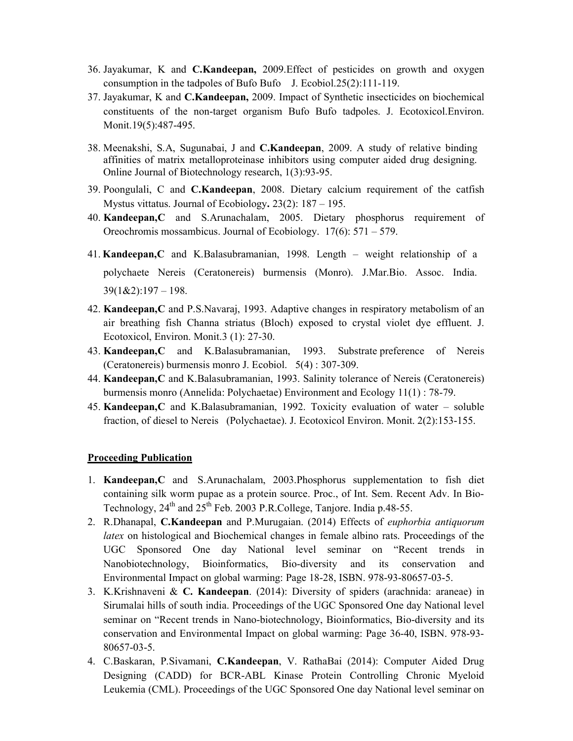- 36. Jayakumar, K and C.Kandeepan, 2009.Effect of pesticides on growth and oxygen consumption in the tadpoles of Bufo Bufo J. Ecobiol.25(2):111-119.
- 37. Jayakumar, K and C.Kandeepan, 2009. Impact of Synthetic insecticides on biochemical constituents of the non-target organism Bufo Bufo tadpoles. J. Ecotoxicol.Environ. Monit.19(5):487-495.
- 38. Meenakshi, S.A, Sugunabai, J and C.Kandeepan, 2009. A study of relative binding affinities of matrix metalloproteinase inhibitors using computer aided drug designing. Online Journal of Biotechnology research, 1(3):93-95.
- 39. Poongulali, C and C.Kandeepan, 2008. Dietary calcium requirement of the catfish Mystus vittatus. Journal of Ecobiology. 23(2): 187 – 195.
- 40. Kandeepan,C and S.Arunachalam, 2005. Dietary phosphorus requirement of Oreochromis mossambicus. Journal of Ecobiology. 17(6): 571 – 579.
- 41. Kandeepan,C and K.Balasubramanian, 1998. Length weight relationship of a polychaete Nereis (Ceratonereis) burmensis (Monro). J.Mar.Bio. Assoc. India.  $39(1&2):197-198.$
- 42. Kandeepan,C and P.S.Navaraj, 1993. Adaptive changes in respiratory metabolism of an air breathing fish Channa striatus (Bloch) exposed to crystal violet dye effluent. J. Ecotoxicol, Environ. Monit.3 (1): 27-30.
- 43. Kandeepan, C and K.Balasubramanian, 1993. Substrate preference of Nereis (Ceratonereis) burmensis monro J. Ecobiol. 5(4) : 307-309.
- 44. Kandeepan, C and K.Balasubramanian, 1993. Salinity tolerance of Nereis (Ceratonereis) burmensis monro (Annelida: Polychaetae) Environment and Ecology 11(1) : 78-79.
- 45. Kandeepan,C and K.Balasubramanian, 1992. Toxicity evaluation of water soluble fraction, of diesel to Nereis (Polychaetae). J. Ecotoxicol Environ. Monit. 2(2):153-155.

#### Proceeding Publication

- 1. Kandeepan,C and S.Arunachalam, 2003.Phosphorus supplementation to fish diet containing silk worm pupae as a protein source. Proc., of Int. Sem. Recent Adv. In Bio-Technology, 24<sup>th</sup> and 25<sup>th</sup> Feb. 2003 P.R.College, Tanjore. India p.48-55.
- 2. R.Dhanapal, C.Kandeepan and P.Murugaian. (2014) Effects of euphorbia antiquorum latex on histological and Biochemical changes in female albino rats. Proceedings of the UGC Sponsored One day National level seminar on "Recent trends in Nanobiotechnology, Bioinformatics, Bio-diversity and its conservation and Environmental Impact on global warming: Page 18-28, ISBN. 978-93-80657-03-5.
- 3. K.Krishnaveni & C. Kandeepan. (2014): Diversity of spiders (arachnida: araneae) in Sirumalai hills of south india. Proceedings of the UGC Sponsored One day National level seminar on "Recent trends in Nano-biotechnology, Bioinformatics, Bio-diversity and its conservation and Environmental Impact on global warming: Page 36-40, ISBN. 978-93- 80657-03-5.
- 4. C.Baskaran, P.Sivamani, C.Kandeepan, V. RathaBai (2014): Computer Aided Drug Designing (CADD) for BCR-ABL Kinase Protein Controlling Chronic Myeloid Leukemia (CML). Proceedings of the UGC Sponsored One day National level seminar on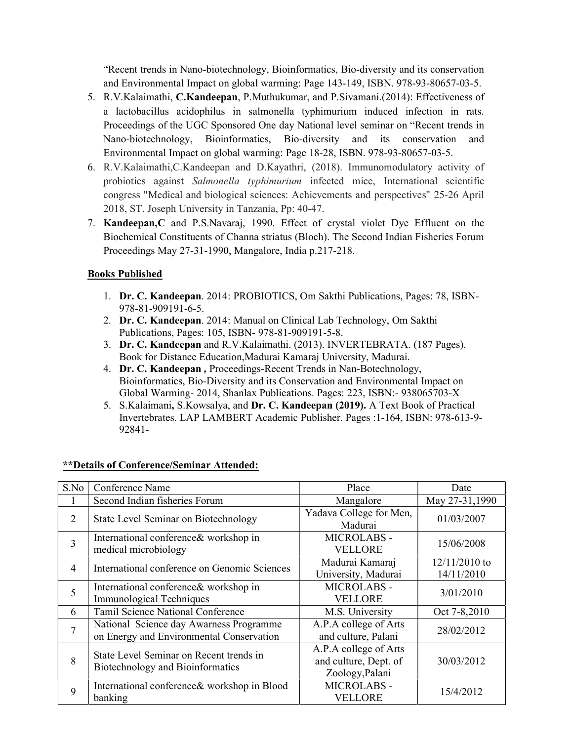"Recent trends in Nano-biotechnology, Bioinformatics, Bio-diversity and its conservation and Environmental Impact on global warming: Page 143-149, ISBN. 978-93-80657-03-5.

- 5. R.V.Kalaimathi, C.Kandeepan, P.Muthukumar, and P.Sivamani.(2014): Effectiveness of a lactobacillus acidophilus in salmonella typhimurium induced infection in rats. Proceedings of the UGC Sponsored One day National level seminar on "Recent trends in Nano-biotechnology, Bioinformatics, Bio-diversity and its conservation and Environmental Impact on global warming: Page 18-28, ISBN. 978-93-80657-03-5.
- 6. R.V.Kalaimathi,C.Kandeepan and D.Kayathri, (2018). Immunomodulatory activity of probiotics against Salmonella typhimurium infected mice, International scientific congress "Medical and biological sciences: Achievements and perspectives" 25-26 April 2018, ST. Joseph University in Tanzania, Pp: 40-47.
- 7. Kandeepan,C and P.S.Navaraj, 1990. Effect of crystal violet Dye Effluent on the Biochemical Constituents of Channa striatus (Bloch). The Second Indian Fisheries Forum Proceedings May 27-31-1990, Mangalore, India p.217-218.

## Books Published

- 1. Dr. C. Kandeepan. 2014: PROBIOTICS, Om Sakthi Publications, Pages: 78, ISBN-978-81-909191-6-5.
- 2. Dr. C. Kandeepan. 2014: Manual on Clinical Lab Technology, Om Sakthi Publications, Pages: 105, ISBN- 978-81-909191-5-8.
- 3. Dr. C. Kandeepan and R.V.Kalaimathi. (2013). INVERTEBRATA. (187 Pages). Book for Distance Education,Madurai Kamaraj University, Madurai.
- 4. Dr. C. Kandeepan , Proceedings-Recent Trends in Nan-Botechnology, Bioinformatics, Bio-Diversity and its Conservation and Environmental Impact on Global Warming- 2014, Shanlax Publications. Pages: 223, ISBN:- 938065703-X
- 5. S.Kalaimani, S.Kowsalya, and Dr. C. Kandeepan (2019). A Text Book of Practical Invertebrates. LAP LAMBERT Academic Publisher. Pages :1-164, ISBN: 978-613-9- 92841-

| S.No           | Conference Name                                                                     | Place                                                             | Date                          |
|----------------|-------------------------------------------------------------------------------------|-------------------------------------------------------------------|-------------------------------|
|                | Second Indian fisheries Forum                                                       | Mangalore                                                         | May 27-31,1990                |
| 2              | State Level Seminar on Biotechnology                                                | Yadava College for Men,<br>Madurai                                | 01/03/2007                    |
| 3              | International conference& workshop in<br>medical microbiology                       | MICROLABS -<br><b>VELLORE</b>                                     | 15/06/2008                    |
| $\overline{4}$ | International conference on Genomic Sciences                                        | Madurai Kamaraj<br>University, Madurai                            | $12/11/2010$ to<br>14/11/2010 |
| 5              | International conference& workshop in<br>Immunological Techniques                   | MICROLABS -<br><b>VELLORE</b>                                     | 3/01/2010                     |
| 6              | Tamil Science National Conference                                                   | M.S. University                                                   | Oct 7-8,2010                  |
| $\overline{7}$ | National Science day Awarness Programme<br>on Energy and Environmental Conservation | A.P.A college of Arts<br>and culture, Palani                      | 28/02/2012                    |
| 8              | State Level Seminar on Recent trends in<br>Biotechnology and Bioinformatics         | A.P.A college of Arts<br>and culture, Dept. of<br>Zoology, Palani | 30/03/2012                    |
| 9              | International conference& workshop in Blood<br>banking                              | MICROLABS -<br>VELLORE                                            | 15/4/2012                     |

## \*\*Details of Conference/Seminar Attended: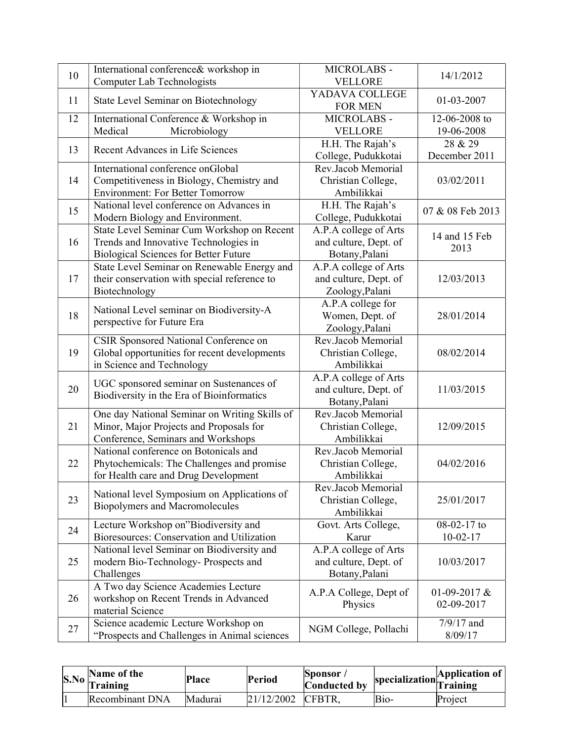| 10 | International conference& workshop in<br><b>Computer Lab Technologists</b>                                                          | MICROLABS -<br><b>VELLORE</b>                                     | 14/1/2012                    |
|----|-------------------------------------------------------------------------------------------------------------------------------------|-------------------------------------------------------------------|------------------------------|
| 11 | State Level Seminar on Biotechnology                                                                                                | YADAVA COLLEGE<br><b>FOR MEN</b>                                  | 01-03-2007                   |
| 12 | International Conference & Workshop in<br>Medical<br>Microbiology                                                                   | MICROLABS -<br><b>VELLORE</b>                                     | 12-06-2008 to<br>19-06-2008  |
| 13 | Recent Advances in Life Sciences                                                                                                    | H.H. The Rajah's<br>College, Pudukkotai                           | 28 & 29<br>December 2011     |
| 14 | International conference onGlobal<br>Competitiveness in Biology, Chemistry and<br><b>Environment: For Better Tomorrow</b>           | Rev.Jacob Memorial<br>Christian College,<br>Ambilikkai            | 03/02/2011                   |
| 15 | National level conference on Advances in<br>Modern Biology and Environment.                                                         | H.H. The Rajah's<br>College, Pudukkotai                           | 07 & 08 Feb 2013             |
| 16 | State Level Seminar Cum Workshop on Recent<br>Trends and Innovative Technologies in<br><b>Biological Sciences for Better Future</b> | A.P.A college of Arts<br>and culture, Dept. of<br>Botany, Palani  | 14 and 15 Feb<br>2013        |
| 17 | State Level Seminar on Renewable Energy and<br>their conservation with special reference to<br>Biotechnology                        | A.P.A college of Arts<br>and culture, Dept. of<br>Zoology, Palani | 12/03/2013                   |
| 18 | National Level seminar on Biodiversity-A<br>perspective for Future Era                                                              | A.P.A college for<br>Women, Dept. of<br>Zoology, Palani           | 28/01/2014                   |
| 19 | CSIR Sponsored National Conference on<br>Global opportunities for recent developments<br>in Science and Technology                  | Rev.Jacob Memorial<br>Christian College,<br>Ambilikkai            | 08/02/2014                   |
| 20 | UGC sponsored seminar on Sustenances of<br>Biodiversity in the Era of Bioinformatics                                                | A.P.A college of Arts<br>and culture, Dept. of<br>Botany, Palani  | 11/03/2015                   |
| 21 | One day National Seminar on Writing Skills of<br>Minor, Major Projects and Proposals for<br>Conference, Seminars and Workshops      | Rev.Jacob Memorial<br>Christian College,<br>Ambilikkai            | 12/09/2015                   |
| 22 | National conference on Botonicals and<br>Phytochemicals: The Challenges and promise<br>for Health care and Drug Development         | Rev.Jacob Memorial<br>Christian College,<br>Ambilikkai            | 04/02/2016                   |
| 23 | National level Symposium on Applications of<br><b>Biopolymers and Macromolecules</b>                                                | Rev.Jacob Memorial<br>Christian College,<br>Ambilikkai            | 25/01/2017                   |
| 24 | Lecture Workshop on"Biodiversity and<br>Bioresources: Conservation and Utilization                                                  | Govt. Arts College,<br>Karur                                      | 08-02-17 to<br>$10-02-17$    |
| 25 | National level Seminar on Biodiversity and<br>modern Bio-Technology- Prospects and<br>Challenges                                    | A.P.A college of Arts<br>and culture, Dept. of<br>Botany, Palani  | 10/03/2017                   |
| 26 | A Two day Science Academies Lecture<br>workshop on Recent Trends in Advanced<br>material Science                                    | A.P.A College, Dept of<br>Physics                                 | 01-09-2017 $&$<br>02-09-2017 |
| 27 | Science academic Lecture Workshop on<br>"Prospects and Challenges in Animal sciences                                                | NGM College, Pollachi                                             | $7/9/17$ and<br>8/09/17      |

| Name of the<br>$\sim$ No $\int_{\text{Training}}^{\infty}$ | <b>Place</b> | Period     | $\mathbf{\left\langle$ Sponsor<br>Conducted by |      | $\sum_{\text{ov}}$ specialization $\left \frac{\text{Application of}}{\text{Training}}\right $ |
|------------------------------------------------------------|--------------|------------|------------------------------------------------|------|------------------------------------------------------------------------------------------------|
| Recombinant DNA                                            | Madurai      | 21/12/2002 | <b>ICFBTR.</b>                                 | Bio- | Project                                                                                        |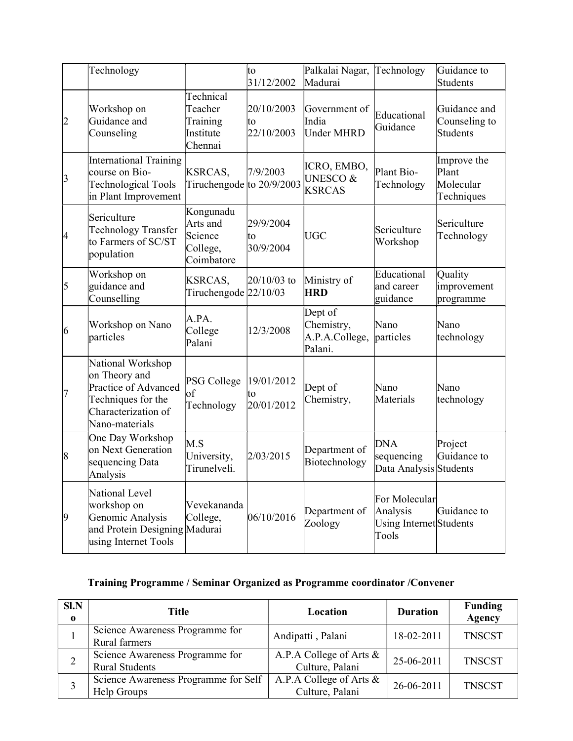|                | Technology                                                                                                                |                                                            | to<br>31/12/2002               | Palkalai Nagar,<br>Madurai                          | Technology                                                    | Guidance to<br>Students                          |
|----------------|---------------------------------------------------------------------------------------------------------------------------|------------------------------------------------------------|--------------------------------|-----------------------------------------------------|---------------------------------------------------------------|--------------------------------------------------|
| 2              | Workshop on<br>Guidance and<br>Counseling                                                                                 | Technical<br>Teacher<br>Training<br>Institute<br>Chennai   | 20/10/2003<br>to<br>22/10/2003 | Government of<br>India<br><b>Under MHRD</b>         | Educational<br>Guidance                                       | Guidance and<br>Counseling to<br><b>Students</b> |
| 3              | <b>International Training</b><br>course on Bio-<br><b>Technological Tools</b><br>in Plant Improvement                     | <b>KSRCAS,</b><br>Tiruchengode to 20/9/2003                | 7/9/2003                       | ICRO, EMBO,<br><b>UNESCO &amp;</b><br><b>KSRCAS</b> | Plant Bio-<br>Technology                                      | Improve the<br>Plant<br>Molecular<br>Techniques  |
| 4              | Sericulture<br>Technology Transfer<br>to Farmers of SC/ST<br>population                                                   | Kongunadu<br>Arts and<br>Science<br>College,<br>Coimbatore | 29/9/2004<br>to<br>30/9/2004   | UGC                                                 | Sericulture<br>Workshop                                       | Sericulture<br>Technology                        |
| 5              | Workshop on<br>guidance and<br>Counselling                                                                                | KSRCAS,<br>Tiruchengode 22/10/03                           | 20/10/03 to                    | Ministry of<br><b>HRD</b>                           | Educational<br>and career<br>guidance                         | Quality<br>improvement<br>programme              |
| 6              | Workshop on Nano<br>particles                                                                                             | A.PA.<br>College<br>Palani                                 | 12/3/2008                      | Dept of<br>Chemistry,<br>A.P.A.College,<br>Palani.  | Nano<br>particles                                             | Nano<br>technology                               |
| 7              | National Workshop<br>on Theory and<br>Practice of Advanced<br>Techniques for the<br>Characterization of<br>Nano-materials | <b>PSG College</b><br>lof<br>Technology                    | 19/01/2012<br>to<br>20/01/2012 | Dept of<br>Chemistry,                               | Nano<br>Materials                                             | Nano<br>technology                               |
| $\vert 8$      | One Day Workshop<br>on Next Generation<br>sequencing Data<br>Analysis                                                     | M.S<br>University,<br>Tirunelveli.                         | 2/03/2015                      | Department of<br>Biotechnology                      | <b>DNA</b><br>sequencing<br>Data Analysis Students            | Project<br>Guidance to                           |
| $\overline{9}$ | National Level<br>workshop on<br>Genomic Analysis<br>and Protein Designing Madurai<br>using Internet Tools                | Vevekananda<br>College,                                    | 06/10/2016                     | Department of<br>Zoology                            | For Molecular<br>Analysis<br>Using Internet Students<br>Tools | Guidance to                                      |

# Training Programme / Seminar Organized as Programme coordinator /Convener

| SI.N<br>$\bf{0}$ | Title                                                    | Location                                   | <b>Duration</b> | <b>Funding</b><br><b>Agency</b> |
|------------------|----------------------------------------------------------|--------------------------------------------|-----------------|---------------------------------|
|                  | Science Awareness Programme for<br><b>Rural farmers</b>  | Andipatti, Palani                          | 18-02-2011      | <b>TNSCST</b>                   |
|                  | Science Awareness Programme for<br><b>Rural Students</b> | A.P.A College of Arts &<br>Culture, Palani | 25-06-2011      | <b>TNSCST</b>                   |
|                  | Science Awareness Programme for Self<br>Help Groups      | A.P.A College of Arts &<br>Culture, Palani | 26-06-2011      | <b>TNSCST</b>                   |